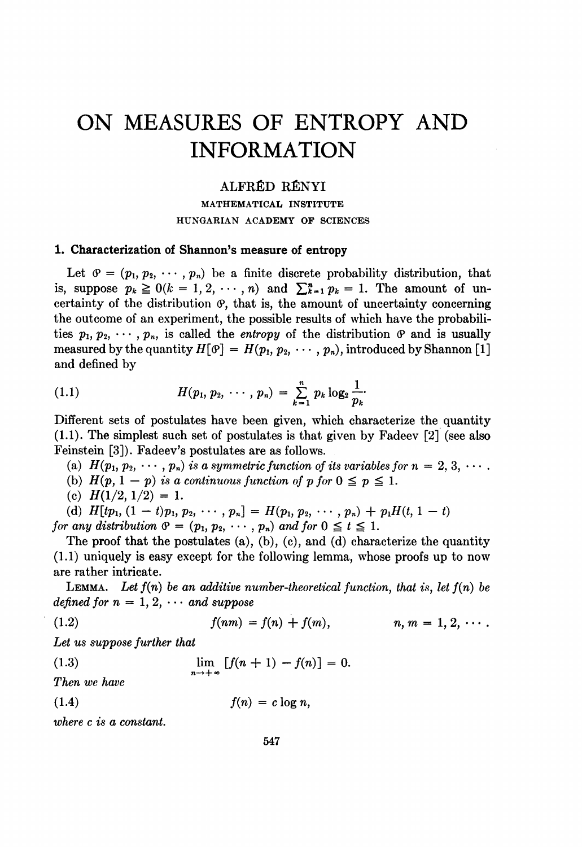# ON MEASURES OF ENTROPY AND INFORMATION

## ALFRÉD RÉNYI

MATHEMATICAL INSTITUTE HUNGARIAN ACADEMY OF SCIENCES

#### 1. Characterization of Shannon's measure of entropy

Let  $\vartheta = (p_1, p_2, \dots, p_n)$  be a finite discrete probability distribution, that is, suppose  $p_k \ge 0$  ( $k = 1, 2, \dots, n$ ) and  $\sum_{k=1}^{n} p_k = 1$ . The amount of uncertainty of the distribution  $\varphi$ , that is, the amount of uncertainty concerning the outcome of an experiment, the possible results of which have the probabilities  $p_1, p_2, \dots, p_n$ , is called the *entropy* of the distribution  $\varPhi$  and is usually measured by the quantity  $H[\mathcal{P}] = H(p_1, p_2, \cdots, p_n)$ , introduced by Shannon [1] and defined by

(1.1) 
$$
H(p_1, p_2, \cdots, p_n) = \sum_{k=1}^n p_k \log_2 \frac{1}{p_k}.
$$

Different sets of postulates have been given, which characterize the quantity (1.1). The simplest such set of postulates is that given by Fadeev [2] (see also Feinstein [3]). Fadeev's postulates are as follows.

(a)  $H(p_1, p_2, \dots, p_n)$  is a symmetric function of its variables for  $n = 2, 3, \dots$ .

- (b)  $H(p, 1 p)$  is a continuous function of p for  $0 \leq p \leq 1$ .
- (c)  $H(1/2, 1/2) = 1$ .

(d)  $H[tp_1, (1-t)p_1, p_2, \cdots, p_n] = H(p_1, p_2, \cdots, p_n) + p_1H(t, 1-t)$ for any distribution  $\mathcal{P} = (p_1, p_2, \cdots, p_n)$  and for  $0 \le t \le 1$ .

The proof that the postulates (a), (b), (c), and (d) characterize the quantity (1.1) uniquely is easy except for the following lemma, whose proofs up to now are rather intricate.

LEMMA. Let  $f(n)$  be an additive number-theoretical function, that is, let  $f(n)$  be defined for  $n = 1, 2, \cdots$  and suppose

(1.2) 
$$
f(nm) = f(n) + f(m), \qquad n, m = 1, 2, \cdots.
$$

Let us suppose further that

(1.3) 
$$
\lim_{n \to +\infty} [f(n+1) - f(n)] = 0.
$$

Then we have

(1.4)  $f(n) = c \log n$ ,

where c is a constant.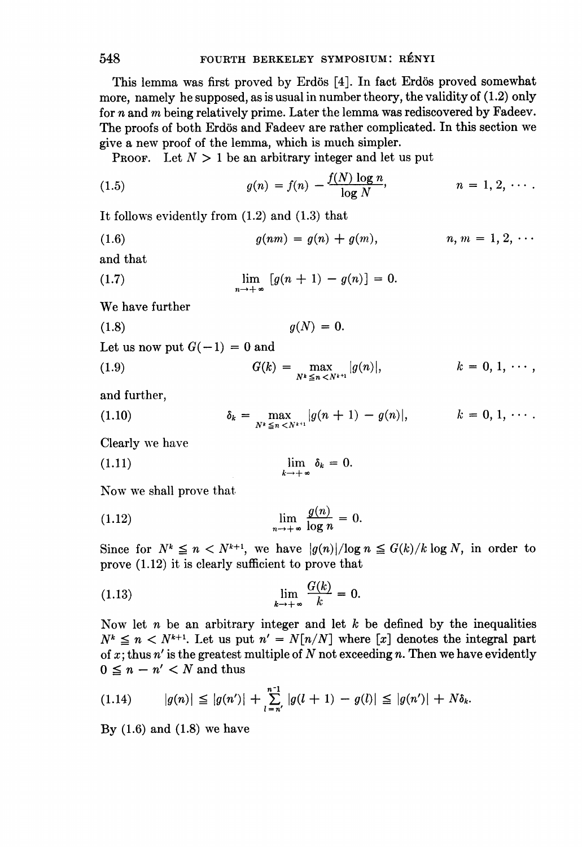This lemma was first proved by Erdös [4]. In fact Erdös proved somewhat more, namely he supposed, as is usual in number theory, the validity of (1.2) only for n and m being relatively prime. Later the lemma was rediscovered by Fadeev. The proofs of both Erdös and Fadeev are rather complicated. In this section we give a new proof of the lemma, which is much simpler.

PROOF. Let  $N > 1$  be an arbitrary integer and let us put

(1.5) 
$$
g(n) = f(n) - \frac{f(N) \log n}{\log N}, \qquad n = 1, 2, \cdots.
$$

It follows evidently from (1.2) and (1.3) that

(1.6) 
$$
g(nm) = g(n) + g(m), \qquad n, m = 1, 2, \cdots
$$

and that

(1.7) 
$$
\lim_{n \to +\infty} [g(n+1) - g(n)] = 0.
$$

We have further

(1.8)  $g(N) = 0.$ 

Let us now put  $G(-1) = 0$  and

(1.9) 
$$
G(k) = \max_{N^k \leq n < N^{k+1}} |g(n)|, \qquad k = 0, 1, \cdots,
$$

and further,

(1.10) 
$$
\delta_k = \max_{N^k \leq n < N^{k+1}} |g(n+1) - g(n)|, \qquad k = 0, 1, \cdots.
$$

Clearly we have

(1.11) 
$$
\lim_{k \to +\infty} \delta_k = 0.
$$

Now we shall prove that

(1.12) 
$$
\lim_{n \to +\infty} \frac{g(n)}{\log n} = 0.
$$

Since for  $N^k \leq n < N^{k+1}$ , we have  $|g(n)|/\log n \leq G(k)/k \log N$ , in order to prove (1.12) it is clearly sufficient to prove that

(1.13) 
$$
\lim_{k \to +\infty} \frac{G(k)}{k} = 0.
$$

Now let n be an arbitrary integer and let  $k$  be defined by the inequalities  $N^k \leq n < N^{k+1}$ . Let us put  $n' = N[n/N]$  where [x] denotes the integral part of x; thus  $n'$  is the greatest multiple of N not exceeding n. Then we have evidently  $0 \leq n - n' < N$  and thus

$$
(1.14) \qquad |g(n)| \leq |g(n')| + \sum_{l=n'}^{n-1} |g(l+1) - g(l)| \leq |g(n')| + N\delta_k.
$$

By  $(1.6)$  and  $(1.8)$  we have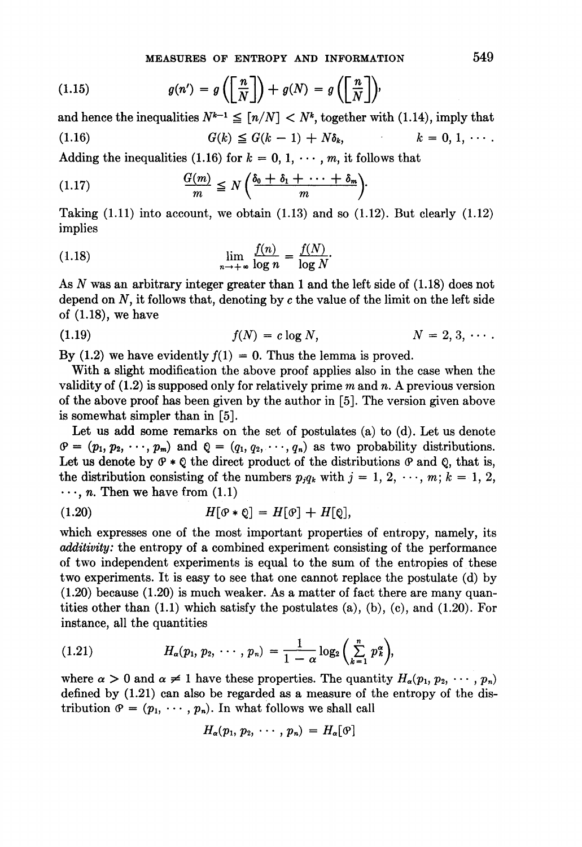(1.15) 
$$
g(n') = g\left(\left[\frac{n}{N}\right]\right) + g(N) = g\left(\left[\frac{n}{N}\right]\right),
$$

and hence the inequalities  $N^{k-1} \leq [n/N] < N^k$ , together with (1.14), imply that (1.16)  $G(k) \leq G(k-1) + N\delta_k, \qquad k = 0, 1, \cdots.$ 

Adding the inequalities (1.16) for  $k = 0, 1, \dots, m$ , it follows that

$$
(1.17) \t\t \t\t \frac{G(m)}{m} \leq N \left( \frac{\delta_0 + \delta_1 + \cdots + \delta_m}{m} \right).
$$

Taking  $(1.11)$  into account, we obtain  $(1.13)$  and so  $(1.12)$ . But clearly  $(1.12)$ implies

(1.18) 
$$
\lim_{n \to +\infty} \frac{f(n)}{\log n} = \frac{f(N)}{\log N}.
$$

As N was an arbitrary integer greater than <sup>1</sup> and the left side of (1.18) does not depend on  $N$ , it follows that, denoting by  $c$  the value of the limit on the left side of (1.18), we have

(1.19) 
$$
f(N) = c \log N
$$
,  $N = 2, 3, \cdots$ 

By (1.2) we have evidently  $f(1) = 0$ . Thus the lemma is proved.

With a slight modification the above proof applies also in the case when the validity of  $(1.2)$  is supposed only for relatively prime m and n. A previous version of the above proof has been given by the author in [5]. The version given above is somewhat simpler than in [5].

Let us add some remarks on the set of postulates (a) to (d). Let us denote  $\varphi = (p_1, p_2, \dots, p_m)$  and  $\varphi = (q_1, q_2, \dots, q_n)$  as two probability distributions. Let us denote by  $\varphi * \varrho$  the direct product of the distributions  $\varrho$  and  $\varrho$ , that is, the distribution consisting of the numbers  $p_jq_k$  with  $j = 1, 2, \dots, m; k = 1, 2,$  $\cdots$ , *n*. Then we have from (1.1)

$$
(1.20) \tH[\mathcal{O} * \mathcal{Q}] = H[\mathcal{O}] + H[\mathcal{Q}],
$$

which expresses one of the most important properties of entropy, namely, its additivity: the entropy of a combined experiment consisting of the performance of two independent experiments is equal to the sum of the entropies of these two experiments. It is easy to see that one cannot replace the postulate (d) by (1.20) because (1.20) is much weaker. As a matter of fact there are many quantities other than  $(1.1)$  which satisfy the postulates  $(a)$ ,  $(b)$ ,  $(c)$ , and  $(1.20)$ . For instance, all the quantities

(1.21) 
$$
H_{\alpha}(p_1, p_2, \cdots, p_n) = \frac{1}{1-\alpha} \log_2 \left( \sum_{k=1}^n p_k^{\alpha} \right),
$$

where  $\alpha > 0$  and  $\alpha \neq 1$  have these properties. The quantity  $H_{\alpha}(p_1, p_2, \dots, p_n)$ defined by  $(1.21)$  can also be regarded as a measure of the entropy of the distribution  $\varphi = (p_1, \dots, p_n)$ . In what follows we shall call

$$
H_{\alpha}(p_1, p_2, \cdots, p_n) = H_{\alpha}[\mathcal{P}]
$$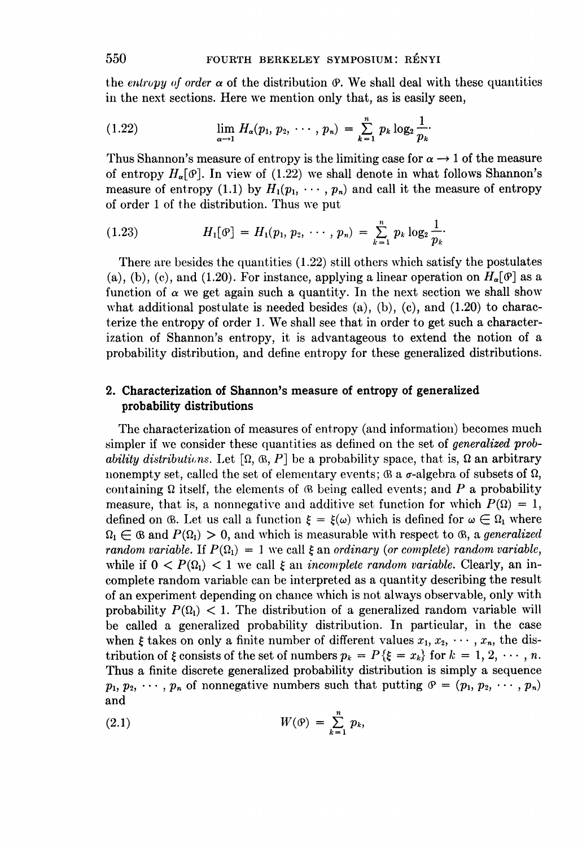the entropy of order  $\alpha$  of the distribution  $\varphi$ . We shall deal with these quantities in the next sections. Here we mention only that, as is easily seen,

(1.22) 
$$
\lim_{\alpha \to 1} H_{\alpha}(p_1, p_2, \cdots, p_n) = \sum_{k=1}^n p_k \log_2 \frac{1}{p_k}.
$$

Thus Shannon's measure of entropy is the limiting case for  $\alpha \rightarrow 1$  of the measure of entropy  $H_a[\mathcal{P}]$ . In view of (1.22) we shall denote in what follows Shannon's measure of entropy (1.1) by  $H_1(p_1, \dots, p_n)$  and call it the measure of entropy of order <sup>1</sup> of the distribution. Thus we put

(1.23) 
$$
H_1[\mathfrak{G}] = H_1(p_1, p_2, \cdots, p_n) = \sum_{k=1}^n p_k \log_2 \frac{1}{p_k}.
$$

There are besides the quantities (1.22) still others which satisfy the postulates (a), (b), (c), and (1.20). For instance, applying a linear operation on  $H_{\alpha}[\mathcal{P}]$  as a function of  $\alpha$  we get again such a quantity. In the next section we shall show what additional postulate is needed besides (a), (b), (c), and  $(1.20)$  to characterize the entropy of order 1. We shall see that in order to get such <sup>a</sup> characterization of Shannon's entropy, it is advantageous to extend the notion of a probability distribution, and define entropy for these generalized distributions.

# 2. Characterization of Shannon's measure of entropy of generalized probability distributions

The characterization of measures of entropy (and information) becomes much simpler if we consider these quantities as defined on the set of generalized probability distributions. Let  $[\Omega, \mathcal{B}, P]$  be a probability space, that is,  $\Omega$  an arbitrary nonempty set, called the set of elementary events;  $\mathfrak{B}$  a  $\sigma$ -algebra of subsets of  $\Omega$ , containing  $\Omega$  itself, the elements of  $\otimes$  being called events; and P a probability measure, that is, a nonnegative and additive set function for which  $P(\Omega) = 1$ , defined on 6. Let us call a function  $\xi = \xi(\omega)$  which is defined for  $\omega \in \Omega_1$  where  $\Omega_1 \in \mathcal{B}$  and  $P(\Omega_1) > 0$ , and which is measurable with respect to  $\mathcal{B}$ , a generalized random variable. If  $P(\Omega_1) = 1$  we call  $\xi$  an ordinary (or complete) random variable, while if  $0 \leq P(\Omega_1) \leq 1$  we call  $\xi$  an *incomplete random variable*. Clearly, an incomplete random variable can be interpreted as a quantity describing the result of an experiment depending on chance which is not always observable, only with probability  $P(\Omega_1)$  < 1. The distribution of a generalized random variable will be called a generalized probability distribution. In particular, in the case when  $\xi$  takes on only a finite number of different values  $x_1, x_2, \cdots, x_n$ , the distribution of  $\xi$  consists of the set of numbers  $p_k = P\{\xi = x_k\}$  for  $k = 1, 2, \dots, n$ . Thus a finite discrete generalized probability distribution is simply a sequence  $p_1, p_2, \dots, p_n$  of nonnegative numbers such that putting  $\vartheta = (p_1, p_2, \dots, p_n)$ and

$$
(2.1) \t\t W(\mathfrak{O}) = \sum_{k=1}^n p_k,
$$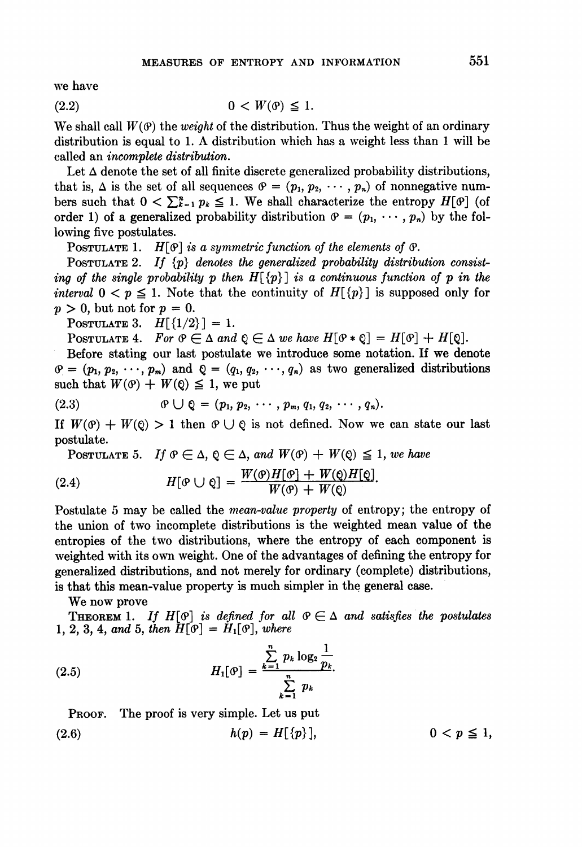we have

$$
(2.2) \t\t 0 < W(\mathfrak{G}) \leq 1.
$$

We shall call  $W(\mathcal{P})$  the *weight* of the distribution. Thus the weight of an ordinary distribution is equal to 1. A distribution which has <sup>a</sup> weight less than <sup>1</sup> will be called an incomplete distribution.

Let  $\Delta$  denote the set of all finite discrete generalized probability distributions, that is,  $\Delta$  is the set of all sequences  $\vartheta = (p_1, p_2, \cdots, p_n)$  of nonnegative numbers such that  $0 < \sum_{k=1}^{n} p_k \leq 1$ . We shall characterize the entropy  $H[\mathcal{P}]$  (of order 1) of a generalized probability distribution  $\mathcal{P} = (p_1, \dots, p_n)$  by the following five postulates.

POSTULATE 1.  $H[\mathcal{P}]$  is a symmetric function of the elements of  $\mathcal{P}$ .

POSTULATE 2. If  $\{p\}$  denotes the generalized probability distribution consisting of the single probability p then  $H[\{p\}]$  is a continuous function of p in the interval  $0 \le p \le 1$ . Note that the continuity of  $H[\{p\}]$  is supposed only for  $p > 0$ , but not for  $p = 0$ .

POSTULATE 3.  $H[{1/2}] = 1$ .

POSTULATE 4. For  $\mathfrak{G} \in \Delta$  and  $\mathfrak{G} \in \Delta$  we have  $H[\mathfrak{G} * \mathfrak{G}] = H[\mathfrak{G}] + H[\mathfrak{G}]$ .

Before stating our last postulate we introduce some notation. If we denote  $\varphi = (p_1, p_2, \dots, p_m)$  and  $\varphi = (q_1, q_2, \dots, q_n)$  as two generalized distributions such that  $W(\mathcal{O}) + W(\mathcal{Q}) \leq 1$ , we put

(2.3) 
$$
\qquad \qquad \theta \cup \mathbb{Q} = (p_1, p_2, \cdots, p_m, q_1, q_2, \cdots, q_n).
$$

If  $W(\mathcal{O}) + W(\mathcal{O}) > 1$  then  $\mathcal{O} \cup \mathcal{O}$  is not defined. Now we can state our last postulate.

POSTULATE 5. If  $\varphi \in \Delta$ ,  $\varphi \in \Delta$ , and  $W(\varphi) + W(\varphi) \leq 1$ , we have

(2.4) 
$$
H[\mathcal{P} \cup \mathcal{Q}] = \frac{W(\mathcal{P})H[\mathcal{Q}] + W(\mathcal{Q})H[\mathcal{Q}]}{W(\mathcal{P}) + W(\mathcal{Q})}.
$$

Postulate 5 may be called the mean-value property of entropy; the entropy of the union of two incomplete distributions is the weighted mean value of the entropies of the two distributions, where the entropy of each component is weighted with its own weight. One of the advantages of defining the entropy for generalized distributions, and not merely for ordinary (complete) distributions, is that this mean-value property is much simpler in the general case.

### We now prove

THEOREM 1. If  $H[\mathcal{O}]$  is defined for all  $\mathcal{O} \in \Delta$  and satisfies the postulates 1, 2, 3, 4, and 5, then  $H[\mathcal{P}] = H_1[\mathcal{P}]$ , where

(2.5) 
$$
H_1[\mathfrak{G}] = \frac{\sum_{k=1}^{n} p_k \log_2 \frac{1}{p_k}}{\sum_{k=1}^{n} p_k}.
$$

PROOF. The proof is very simple. Let us put

(2.6) 
$$
h(p) = H[\{p\}], \qquad 0 < p \leq 1,
$$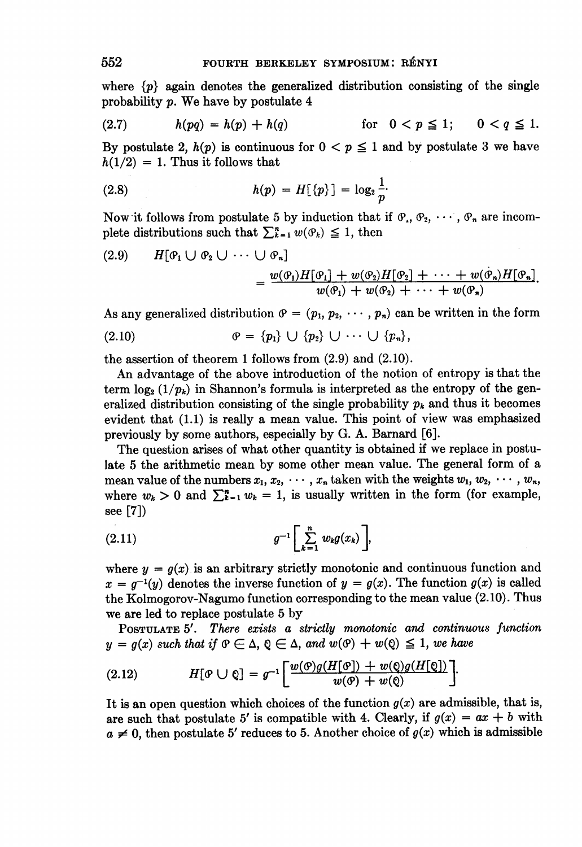where  $\{p\}$  again denotes the generalized distribution consisting of the single probability p. We have by postulate <sup>4</sup>

(2.7) 
$$
h(pq) = h(p) + h(q) \qquad \text{for} \quad 0 < p \leq 1; \qquad 0 < q \leq 1.
$$

By postulate 2,  $h(p)$  is continuous for  $0 < p \le 1$  and by postulate 3 we have  $h(1/2) = 1$ . Thus it follows that

(2.8) 
$$
h(p) = H[\{p\}] = \log_2 \frac{1}{p}.
$$

Now it follows from postulate 5 by induction that if  $\mathcal{P}_1, \mathcal{P}_2, \cdots, \mathcal{P}_n$  are incomplete distributions such that  $\sum_{k=1}^{n} w(\mathcal{P}_k) \leq 1$ , then

(2.9) 
$$
H[\mathfrak{G}_1 \cup \mathfrak{G}_2 \cup \cdots \cup \mathfrak{G}_n] = \frac{w(\mathfrak{G}_1)H[\mathfrak{G}_1] + w(\mathfrak{G}_2)H[\mathfrak{G}_2] + \cdots + w(\mathfrak{G}_n)H[\mathfrak{G}_n]}{w(\mathfrak{G}_1) + w(\mathfrak{G}_2) + \cdots + w(\mathfrak{G}_n)}.
$$

As any generalized distribution  $\varphi = (p_1, p_2, \cdots, p_n)$  can be written in the form

(2.10) (9 = {PI} U {P2} U \* U {Pn},

the assertion of theorem <sup>1</sup> follows from (2.9) and (2.10).

An advantage of the above introduction of the notion of entropy is that the term  $\log_2(1/p_k)$  in Shannon's formula is interpreted as the entropy of the generalized distribution consisting of the single probability  $p_k$  and thus it becomes evident that (1.1) is really a mean value. This point of view was emphasized previously by some authors, especially by G. A. Barnard [6].

The question arises of what other quantity is obtained if we replace in postulate 5 the arithmetic mean by some other mean value. The general form of a mean value of the numbers  $x_1, x_2, \cdots, x_n$  taken with the weights  $w_1, w_2, \cdots, w_n$ , where  $w_k > 0$  and  $\sum_{k=1}^{n} w_k = 1$ , is usually written in the form (for example, see [7])

$$
(2.11) \t\t\t g^{-1}\left[\sum_{k=1}^n w_k g(x_k)\right],
$$

where  $y = g(x)$  is an arbitrary strictly monotonic and continuous function and  $x = q^{-1}(y)$  denotes the inverse function of  $y = g(x)$ . The function  $g(x)$  is called the Kolmogorov-Nagumo function corresponding to the mean value (2.10). Thus we are led to replace postulate 5 by

POSTULATE <sup>5</sup>'. There exists a strictly monotonic and continuous function  $y = g(x)$  such that if  $\Theta \in \Delta$ ,  $\Theta \in \Delta$ , and  $w(\Theta) + w(\Theta) \leq 1$ , we have

(2.12) 
$$
H[\mathcal{P} \cup \mathcal{Q}] = g^{-1} \bigg[ \frac{w(\mathcal{P})g(H[\mathcal{Q}]) + w(\mathcal{Q})g(H[\mathcal{Q}])}{w(\mathcal{P}) + w(\mathcal{Q})} \bigg].
$$

It is an open question which choices of the function  $g(x)$  are admissible, that is, are such that postulate 5' is compatible with 4. Clearly, if  $g(x) = ax + b$  with  $a \neq 0$ , then postulate 5' reduces to 5. Another choice of  $g(x)$  which is admissible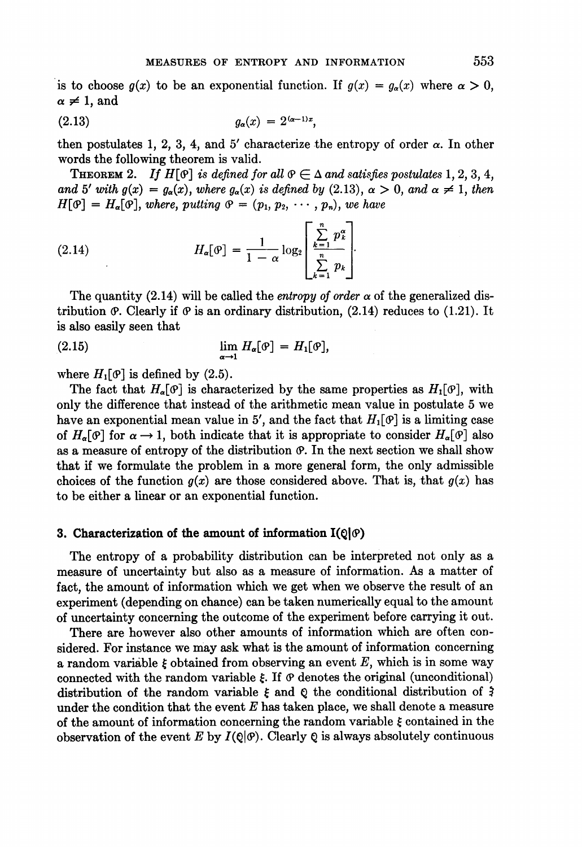is to choose  $g(x)$  to be an exponential function. If  $g(x) = g_{\alpha}(x)$  where  $\alpha > 0$ ,  $\alpha \neq 1$ , and

$$
(2.13) \t\t\t g_{\alpha}(x) = 2^{(\alpha-1)x},
$$

then postulates 1, 2, 3, 4, and 5' characterize the entropy of order  $\alpha$ . In other words the following theorem is valid.

**THEOREM** 2. If  $H[\mathcal{P}]$  is defined for all  $\mathcal{P} \in \Delta$  and satisfies postulates 1, 2, 3, 4, and 5' with  $g(x) = g_{\alpha}(x)$ , where  $g_{\alpha}(x)$  is defined by (2.13),  $\alpha > 0$ , and  $\alpha \neq 1$ , then  $H[\mathfrak{G}] = H_{\alpha}[\mathfrak{G}],$  where, putting  $\mathfrak{G} = (p_1, p_2, \cdots, p_n)$ , we have

(2.14) 
$$
H_{\alpha}[\mathcal{P}] = \frac{1}{1-\alpha} \log_2 \left[ \frac{\sum\limits_{k=1}^{n} p_k^{\alpha}}{\sum\limits_{k=1}^{n} p_k} \right].
$$

The quantity (2.14) will be called the *entropy of order*  $\alpha$  of the generalized distribution  $\varphi$ . Clearly if  $\varphi$  is an ordinary distribution, (2.14) reduces to (1.21). It is also easily seen that

$$
\lim_{\alpha \to 1} H_{\alpha}[\varphi] = H_1[\varphi],
$$

where  $H_1[\mathcal{P}]$  is defined by (2.5).

The fact that  $H_{\alpha}[\mathcal{O}]$  is characterized by the same properties as  $H_1[\mathcal{O}]$ , with only the difference that instead of the arithmetic mean value in postulate 5 we have an exponential mean value in 5', and the fact that  $H_1[\mathcal{P}]$  is a limiting case of  $H_{\alpha}[\mathcal{P}]$  for  $\alpha \to 1$ , both indicate that it is appropriate to consider  $H_{\alpha}[\mathcal{P}]$  also as a measure of entropy of the distribution  $\varphi$ . In the next section we shall show that if we formulate the problem in a more general form, the only admissible choices of the function  $g(x)$  are those considered above. That is, that  $g(x)$  has to be either a linear or an exponential function.

#### 3. Characterization of the amount of information  $I(Q|\theta)$

The entropy of a probability distribution can be interpreted not only as a measure of uncertainty but also as a measure of information. As a matter of fact, the amount of information which we get when we observe the result of an experiment (depending on chance) can be taken numerically equal to the amount of uncertainty concerning the outcome of the experiment before carrying it out.

There are however also other amounts of information which are often considered. For instance we may ask what is the amount of information concerning a random variable  $\xi$  obtained from observing an event  $E$ , which is in some way connected with the random variable  $\xi$ . If  $\varPhi$  denotes the original (unconditional) distribution of the random variable  $\xi$  and  $\varrho$  the conditional distribution of  $\zeta$ under the condition that the event  $E$  has taken place, we shall denote a measure of the amount of information concerning the random variable  $\xi$  contained in the observation of the event E by  $I(\mathbb{Q}|\mathcal{P})$ . Clearly Q is always absolutely continuous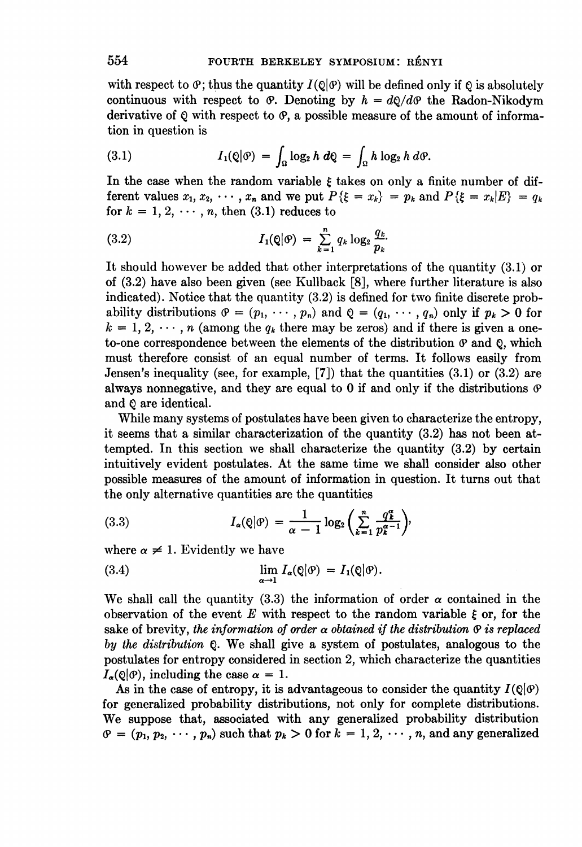with respect to  $\varphi$ ; thus the quantity  $I(\varrho|\varphi)$  will be defined only if  $\varrho$  is absolutely continuous with respect to  $\vartheta$ . Denoting by  $h = d\varrho/d\vartheta$  the Radon-Nikodym derivative of  $Q$  with respect to  $\varphi$ , a possible measure of the amount of information in question is

(3.1) 
$$
I_1(\mathbb{Q}|\mathcal{P}) = \int_{\Omega} \log_2 h \ d\mathbb{Q} = \int_{\Omega} h \log_2 h \ d\mathcal{P}.
$$

In the case when the random variable  $\xi$  takes on only a finite number of different values  $x_1, x_2, \cdots, x_n$  and we put  $P\{\xi = x_k\} = p_k$  and  $P\{\xi = x_k | E\} = q_k$ for  $k = 1, 2, \dots, n$ , then (3.1) reduces to

(3.2) 
$$
I_1(\mathbf{Q}|\mathbf{\Theta}) = \sum_{k=1}^n q_k \log_2 \frac{q_k}{p_k}.
$$

It should however be added that other interpretations of the quantity (3.1) or of (3.2) have also been given (see Kullback [8], where further literature is also indicated). Notice that the quantity (3.2) is defined for two finite discrete probability distributions  $\varphi = (p_1, \dots, p_n)$  and  $\varphi = (q_1, \dots, q_n)$  only if  $p_k > 0$  for  $k = 1, 2, \dots, n$  (among the  $q_k$  there may be zeros) and if there is given a oneto-one correspondence between the elements of the distribution  $\varphi$  and  $\varphi$ , which must therefore consist of an equal number of terms. It follows easily from Jensen's inequality (see, for example,  $[7]$ ) that the quantities  $(3.1)$  or  $(3.2)$  are always nonnegative, and they are equal to 0 if and only if the distributions  $\varphi$ and Q are identical.

While many systems of postulates have been given to characterize the entropy, it seems that a similar characterization of the quantity (3.2) has not been attempted. In this section we shall characterize the quantity (3.2) by certain intuitively evident postulates. At the same time we shall consider also other possible measures of the amount of information in question. It turns out that the only alternative quantities are the quantities

(3.3) 
$$
I_{\alpha}(\mathbf{Q}|\mathbf{\Theta}) = \frac{1}{\alpha - 1} \log_2 \left( \sum_{k=1}^n \frac{q_k^{\alpha}}{p_k^{\alpha - 1}} \right),
$$

where  $\alpha \neq 1$ . Evidently we have

(3.4) 
$$
\lim_{\alpha \to 1} I_{\alpha}(\mathbb{Q}|\mathcal{P}) = I_1(\mathbb{Q}|\mathcal{P}).
$$

We shall call the quantity (3.3) the information of order  $\alpha$  contained in the observation of the event E with respect to the random variable  $\xi$  or, for the sake of brevity, the information of order  $\alpha$  obtained if the distribution  $\alpha$  is replaced by the distribution Q. We shall give <sup>a</sup> system of postulates, analogous to the postulates for entropy considered in section 2, which characterize the quantities  $I_{\alpha}(\mathcal{Q}|\mathcal{P})$ , including the case  $\alpha = 1$ .

As in the case of entropy, it is advantageous to consider the quantity  $I(\mathcal{Q}|\mathcal{Q})$ for generalized probability distributions, not only for complete distributions. We suppose that, associated with any generalized probability distribution  $\varphi = (p_1, p_2, \dots, p_n)$  such that  $p_k > 0$  for  $k = 1, 2, \dots, n$ , and any generalized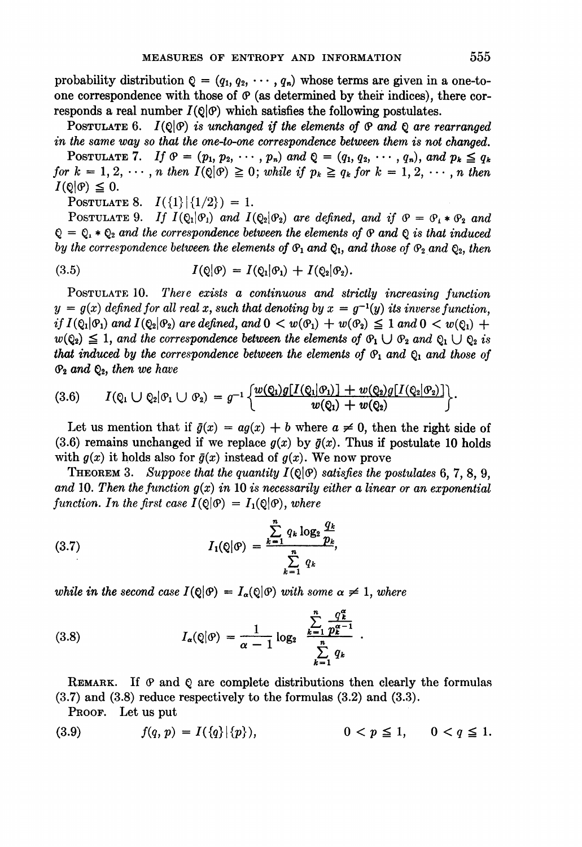probability distribution  $Q = (q_1, q_2, \cdots, q_n)$  whose terms are given in a one-toone correspondence with those of  $\varphi$  (as determined by their indices), there corresponds a real number  $I(Q|\mathcal{Q})$  which satisfies the following postulates.

POSTULATE 6.  $I(Q|\mathcal{Q})$  is unchanged if the elements of  $\mathcal Q$  and  $\mathcal Q$  are rearranged in the same way so that the one-to-one correspondence between them is not changed.

POSTULATE 7. If  $\vartheta = (p_1, p_2, \cdots, p_n)$  and  $\varrho = (q_1, q_2, \cdots, q_n)$ , and  $p_k \leq q_k$ for  $k = 1, 2, \dots, n$  then  $I(Q|\mathcal{O}) \geq 0$ ; while if  $p_k \geq q_k$  for  $k = 1, 2, \dots, n$  then  $I(\mathbb{Q}|\mathcal{P}) \leq 0.$ 

POSTULATE 8.  $I({1}|\{1/2\}) = 1$ .

POSTULATE 9. If  $I(Q_1|\mathcal{O}_1)$  and  $I(Q_2|\mathcal{O}_2)$  are defined, and if  $\mathcal{O} = \mathcal{O}_1 * \mathcal{O}_2$  and  $Q = Q_1 * Q_2$  and the correspondence between the elements of  $\Theta$  and  $Q$  is that induced by the correspondence between the elements of  $\mathfrak{G}_1$  and  $\mathfrak{Q}_1$ , and those of  $\mathfrak{G}_2$  and  $\mathfrak{Q}_2$ , then

(3.5) 
$$
I(\mathbb{Q}|\mathcal{P}) = I(\mathbb{Q}_1|\mathcal{P}_1) + I(\mathbb{Q}_2|\mathcal{P}_2).
$$

POSTULATE 10. There exists a continuous and strictly increasing function  $y = g(x)$  defined for all real x, such that denoting by  $x = g^{-1}(y)$  its inverse function, if  $I(\mathcal{Q}_1|\mathcal{Q}_1)$  and  $I(\mathcal{Q}_2|\mathcal{Q}_2)$  are defined, and  $0 < w(\mathcal{Q}_1) + w(\mathcal{Q}_2) \leq 1$  and  $0 < w(\mathcal{Q}_1) +$  $w(\mathcal{Q}_2) \leq 1$ , and the correspondence between the elements of  $\mathcal{O}_1 \cup \mathcal{O}_2$  and  $\mathcal{Q}_1 \cup \mathcal{Q}_2$  is that induced by the correspondence between the elements of  $\mathfrak{G}_1$  and  $\mathfrak{Q}_1$  and those of  $\mathfrak{O}_2$  and  $\mathfrak{Q}_2$ , then we have

$$
(3.6) \qquad I(\mathbb{Q}_1\cup\mathbb{Q}_2|\mathcal{O}_1\cup\mathcal{O}_2)=g^{-1}\bigg\{\frac{w(\mathbb{Q}_1)g[I(\mathbb{Q}_1|\mathcal{O}_1)]+w(\mathbb{Q}_2)g[I(\mathbb{Q}_2|\mathcal{O}_2)]}{w(\mathbb{Q}_1)+w(\mathbb{Q}_2)}\bigg\}.
$$

Let us mention that if  $\bar{g}(x) = a g(x) + b$  where  $a \neq 0$ , then the right side of (3.6) remains unchanged if we replace  $g(x)$  by  $\bar{g}(x)$ . Thus if postulate 10 holds with  $g(x)$  it holds also for  $\bar{g}(x)$  instead of  $g(x)$ . We now prove

THEOREM 3. Suppose that the quantity  $I(\mathbb{Q}|\mathcal{O})$  satisfies the postulates 6, 7, 8, 9, and 10. Then the function  $g(x)$  in 10 is necessarily either a linear or an exponential function. In the first case  $I(Q|\mathcal{Q}) = I_1(Q|\mathcal{Q})$ , where

(3.7) 
$$
I_1(Q|\mathcal{P}) = \frac{\sum_{k=1}^{n} q_k \log_2 \frac{q_k}{p_k}}{\sum_{k=1}^{n} q_k},
$$

while in the second case  $I(Q|\mathcal{P}) = I_{\alpha}(Q|\mathcal{P})$  with some  $\alpha \neq 1$ , where

(3.8) 
$$
I_{\alpha}(\mathbf{Q}|\mathbf{\theta}) = \frac{1}{\alpha - 1} \log_2 \frac{\sum_{k=1}^{n} \frac{q_k^{\alpha}}{p_k^{\alpha - 1}}}{\sum_{k=1}^{n} q_k}.
$$

REMARK. If  $\varphi$  and  $\varphi$  are complete distributions then clearly the formulas (3.7) and (3.8) reduce respectively to the formulas (3.2) and (3.3).

PROOF. Let us put

(3.9) 
$$
f(q, p) = I(\{q\}|\{p\}),
$$
  $0 < p \le 1, 0 < q \le 1.$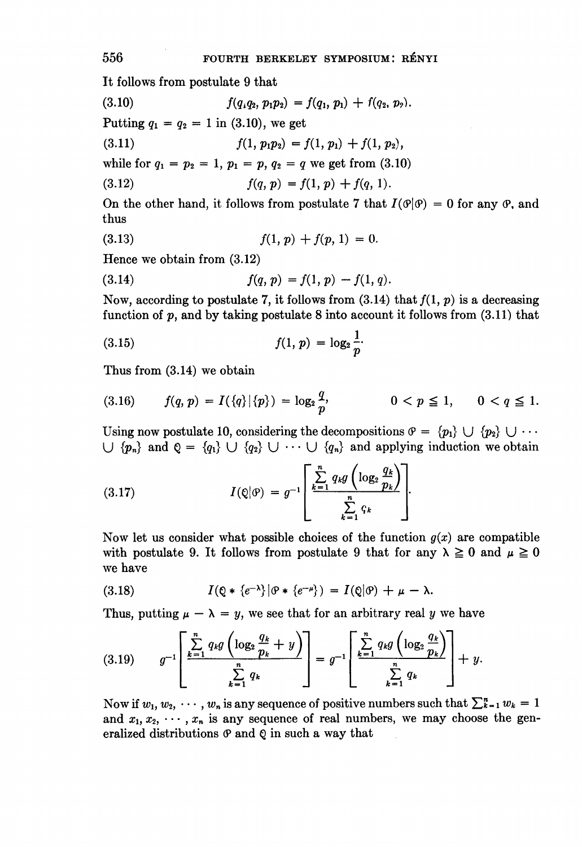It follows from postulate 9 that

$$
(3.10) \t f(q_1q_2, p_1p_2) = f(q_1, p_1) + f(q_2, p_2).
$$

Putting  $q_1 = q_2 = 1$  in (3.10), we get

(3.11)  $f(1, p_1p_2) = f(1, p_1) + f(1, p_2),$ 

while for  $q_1 = p_2 = 1$ ,  $p_1 = p$ ,  $q_2 = q$  we get from (3.10)

(3.12) 
$$
f(q, p) = f(1, p) + f(q, 1).
$$

On the other hand, it follows from postulate 7 that  $I(\mathcal{P}|\mathcal{P}) = 0$  for any  $\mathcal{P}$ , and thus

(3.13) 
$$
f(1, p) + f(p, 1) = 0.
$$

Hence we obtain from (3.12)

(3.14) 
$$
f(q, p) = f(1, p) - f(1, q).
$$

Now, according to postulate 7, it follows from  $(3.14)$  that  $f(1, p)$  is a decreasing function of  $p$ , and by taking postulate 8 into account it follows from  $(3.11)$  that

(3.15) 
$$
f(1, p) = \log_2 \frac{1}{p}.
$$

Thus from (3.14) we obtain

$$
(3.16) \t f(q, p) = I(\{q\}|\{p\}) = \log_2 \frac{q}{p}, \t 0 < p \le 1, \t 0 < q \le 1.
$$

Using now postulate 10, considering the decompositions  $\mathcal{P} = \{p_1\} \cup \{p_2\} \cup \cdots$  $\bigcup \{p_n\}$  and  $\mathbb{Q} = \{q_1\} \bigcup \{q_2\} \bigcup \cdots \bigcup \{q_n\}$  and applying induction we obtain

(3.17) 
$$
I(\mathbf{Q}|\mathbf{\theta}) = g^{-1} \left[ \frac{\sum_{k=1}^{n} q_k g\left(\log_2 \frac{q_k}{p_k}\right)}{\sum_{k=1}^{n} q_k} \right].
$$

Now let us consider what possible choices of the function  $g(x)$  are compatible with postulate 9. It follows from postulate 9 that for any  $\lambda \geq 0$  and  $\mu \geq 0$ we have

(3.18) 
$$
I(\mathbb{Q} * \{e^{-\lambda}\}|\mathcal{O} * \{e^{-\mu}\}) = I(\mathbb{Q}|\mathcal{O}) + \mu - \lambda.
$$

Thus, putting  $\mu - \lambda = y$ , we see that for an arbitrary real y we have

$$
(3.19) \qquad g^{-1}\left[\frac{\sum\limits_{k=1}^{n}q_{k}g\left(\log_{2}\frac{q_{k}}{p_{k}}+y\right)}{\sum\limits_{k=1}^{n}q_{k}}\right]=g^{-1}\left[\frac{\sum\limits_{k=1}^{n}q_{k}g\left(\log_{2}\frac{q_{k}}{p_{k}}\right)}{\sum\limits_{k=1}^{n}q_{k}}\right]+y.
$$

Now if  $w_1, w_2, \dots, w_n$  is any sequence of positive numbers such that  $\sum_{k=1}^n w_k = 1$ and  $x_1, x_2, \dots, x_n$  is any sequence of real numbers, we may choose the generalized distributions  $\varphi$  and  $\varphi$  in such a way that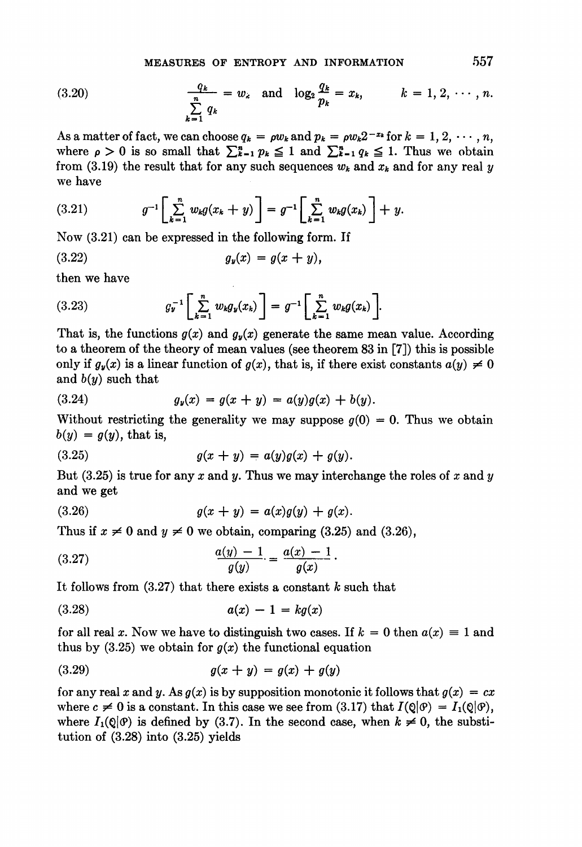(3.20) 
$$
\frac{q_k}{\sum_{k=1}^n q_k} = w_k \text{ and } \log_2 \frac{q_k}{p_k} = x_k, \qquad k = 1, 2, \cdots, n.
$$

As a matter of fact, we can choose  $q_k = \rho w_k$  and  $p_k = \rho w_k 2^{-x_k}$  for  $k = 1, 2, \dots, n$ , where  $\rho > 0$  is so small that  $\sum_{k=1}^{n} p_k \leq 1$  and  $\sum_{k=1}^{n} q_k \leq 1$ . Thus we obtain from (3.19) the result that for any such sequences  $w_k$  and  $x_k$  and for any real y we have

(3.21) 
$$
g^{-1}\left[\sum_{k=1}^n w_k g(x_k+y)\right] = g^{-1}\left[\sum_{k=1}^n w_k g(x_k)\right] + y.
$$

Now (3.21) can be expressed in the following form. If

$$
(3.22) \t\t\t g_y(x) = g(x+y),
$$

then we have

(3.23) 
$$
g_{\nu}^{-1}\left[\sum_{k=1}^{n} w_{k}g_{\nu}(x_{k})\right] = g^{-1}\left[\sum_{k=1}^{n} w_{k}g(x_{k})\right].
$$

That is, the functions  $g(x)$  and  $g_y(x)$  generate the same mean value. According to a theorem of the theory of mean values (see theorem 83 in [7]) this is possible only if  $g_y(x)$  is a linear function of  $g(x)$ , that is, if there exist constants  $a(y) \neq 0$ and  $b(y)$  such that

(3.24) 
$$
g_y(x) = g(x + y) = a(y)g(x) + b(y).
$$

Without restricting the generality we may suppose  $q(0) = 0$ . Thus we obtain  $b(y) = g(y)$ , that is,

(3.25) 
$$
g(x + y) = a(y)g(x) + g(y).
$$

But  $(3.25)$  is true for any x and y. Thus we may interchange the roles of x and y and we get

(3.26) 
$$
g(x + y) = a(x)g(y) + g(x).
$$

Thus if 
$$
x \neq 0
$$
 and  $y \neq 0$  we obtain, comparing (3.25) and (3.26),  
(3.27) 
$$
\frac{a(y) - 1}{g(y)} = \frac{a(x) - 1}{g(x)}.
$$

It follows from  $(3.27)$  that there exists a constant k such that

$$
(3.28) \qquad \qquad a(x) - 1 = kg(x)
$$

for all real x. Now we have to distinguish two cases. If  $k = 0$  then  $a(x) \equiv 1$  and thus by  $(3.25)$  we obtain for  $g(x)$  the functional equation

(3.29) 
$$
g(x + y) = g(x) + g(y)
$$

for any real x and y. As  $g(x)$  is by supposition monotonic it follows that  $g(x) = cx$ where  $c \neq 0$  is a constant. In this case we see from (3.17) that  $I(\mathbb{Q}|\mathcal{P}) = I_1(\mathbb{Q}|\mathcal{P})$ , where  $I_1(\mathbb{Q}|\mathcal{P})$  is defined by (3.7). In the second case, when  $k \neq 0$ , the substitution of (3.28) into (3.25) yields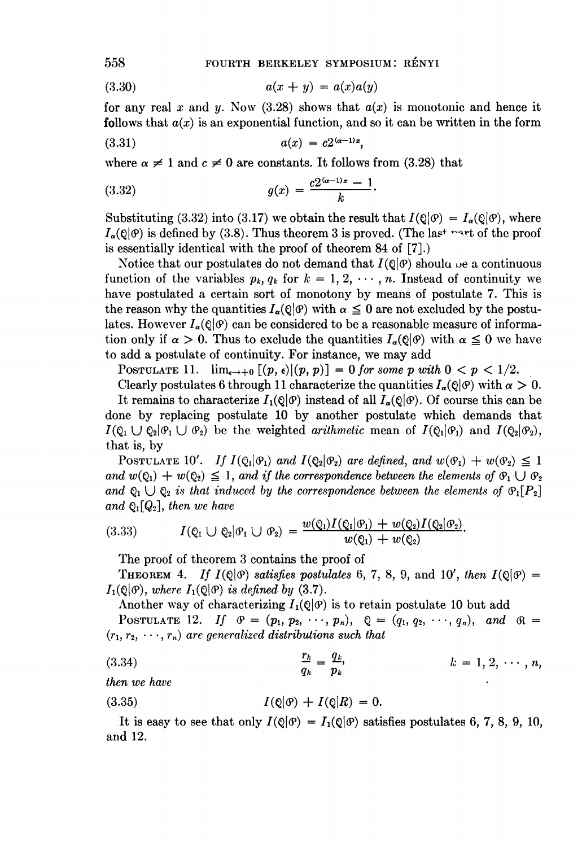(3.30) 
$$
a(x + y) = a(x)a(y)
$$

for any real x and y. Now (3.28) shows that  $a(x)$  is monotonic and hence it follows that  $a(x)$  is an exponential function, and so it can be written in the form

(3.31) 
$$
a(x) = c2^{(\alpha - 1)x},
$$

where  $\alpha \neq 1$  and  $c \neq 0$  are constants. It follows from (3.28) that

(3.32) 
$$
g(x) = \frac{c2^{(\alpha-1)x}-1}{k}.
$$

Substituting (3.32) into (3.17) we obtain the result that  $I(\mathcal{Q}|\mathcal{Q}) = I_{\alpha}(\mathcal{Q}|\mathcal{Q})$ , where  $I_a(\theta|\theta)$  is defined by (3.8). Thus theorem 3 is proved. (The last next of the proof is essentially identical with the proof of theorem 84 of [7].)

Notice that our postulates do not demand that  $I(Q|\mathcal{P})$  should be a continuous function of the variables  $p_k$ ,  $q_k$  for  $k = 1, 2, \dots, n$ . Instead of continuity we have postulated a certain sort of monotony by means of postulate 7. This is the reason why the quantities  $I_{\alpha}(\mathcal{Q}|\mathcal{P})$  with  $\alpha \leq 0$  are not excluded by the postulates. However  $I_{\alpha}(\mathcal{O}|\mathcal{O})$  can be considered to be a reasonable measure of information only if  $\alpha > 0$ . Thus to exclude the quantities  $I_{\alpha}(\mathcal{Q}|\mathcal{Q})$  with  $\alpha \leq 0$  we have to add a postulate of continuity. For instance, we may add

POSTULATE 11.  $\lim_{\epsilon \to 0} [(p, \epsilon)|(p, p)] = 0$  for some p with  $0 < p < 1/2$ .

Clearly postulates 6 through 11 characterize the quantities  $I_{\alpha}(\mathcal{Q}|\mathcal{P})$  with  $\alpha > 0$ . It remains to characterize  $I_1(\mathbb{Q}|\mathcal{P})$  instead of all  $I_\alpha(\mathbb{Q}|\mathcal{P})$ . Of course this can be done by replacing postulate 10 by another postulate which demands that  $I(\mathcal{Q}_1 \cup \mathcal{Q}_2 | \mathcal{Q}_1 \cup \mathcal{Q}_2)$  be the weighted arithmetic mean of  $I(\mathcal{Q}_1 | \mathcal{Q}_1)$  and  $I(\mathcal{Q}_2 | \mathcal{Q}_2)$ , that is, by

POSTULATE 10'. If  $I(\mathcal{Q}_1|\mathcal{Q}_1)$  and  $I(\mathcal{Q}_2|\mathcal{Q}_2)$  are defined, and  $w(\mathcal{Q}_1) + w(\mathcal{Q}_2) \leq 1$ and  $w(\mathcal{Q}_1) + w(\mathcal{Q}_2) \leq 1$ , and if the correspondence between the elements of  $\mathcal{Q}_1 \cup \mathcal{Q}_2$ and  $\mathcal{Q}_1 \cup \mathcal{Q}_2$  is that induced by the correspondence between the elements of  $\mathcal{P}_1[P_2]$ and  $\mathbb{Q}_1[Q_2]$ , then we have

$$
(3.33) \tI(\varrho_1 \cup \varrho_2 | \varrho_1 \cup \varrho_2) = \frac{w(\varrho_1)I(\varrho_1 | \varrho_1) + w(\varrho_2)I(\varrho_2 | \varrho_2)}{w(\varrho_1) + w(\varrho_2)}.
$$

The proof of theorem 3 contains the proof of

**THEOREM** 4. If  $I(Q|\mathcal{Q})$  satisfies postulates 6, 7, 8, 9, and 10', then  $I(Q|\mathcal{Q}) =$  $I_1(\mathbb{Q}|\mathcal{P})$ , where  $I_1(\mathbb{Q}|\mathcal{P})$  is defined by (3.7).

Another way of characterizing  $I_1(\mathbb{Q}|\mathcal{P})$  is to retain postulate 10 but add POSTULATE 12. If  $\theta = (p_1, p_2, \dots, p_n), \quad Q = (q_1, q_2, \dots, q_n), \quad and \quad \theta =$  $(r_1, r_2, \dots, r_n)$  are generalized distributions such that

(3.34) 
$$
\frac{r_k}{q_k} = \frac{q_k}{p_k}, \qquad k = 1, 2, \cdots, n,
$$

then we have

$$
(3.35) \tI(\mathbb{Q}|\mathcal{P}) + I(\mathbb{Q}|R) = 0.
$$

It is easy to see that only  $I(Q|\mathcal{P}) = I_1(Q|\mathcal{P})$  satisfies postulates 6, 7, 8, 9, 10, and 12.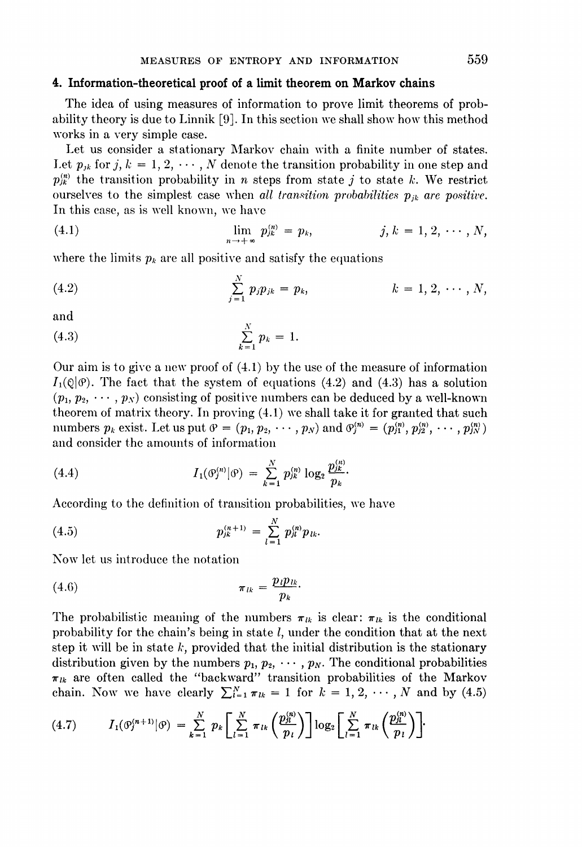### 4. Information-theoretical proof of a limit theorem on Markov chains

The idea of using measures of information to prove limit theorems of probability theory is due to Linnik [9]. In this section we shall show how this method works in a very simple case.

Let us consider a stationary Markov chain with a finite number of states. Let  $p_{jk}$  for j,  $k = 1, 2, \dots, N$  denote the transition probability in one step and  $p_{ik}^{(n)}$  the transition probability in n steps from state j to state k. We restrict ourselves to the simplest case when all transition probabilities  $p_{ik}$  are positive. In this case, as is well known, we have

(4.1) 
$$
\lim_{n \to +\infty} p_{jk}^{(n)} = p_k, \qquad j, k = 1, 2, \cdots, N,
$$

where the limits  $p_k$  are all positive and satisfy the equations

(4.2) 
$$
\sum_{j=1}^{N} p_{j} p_{jk} = p_{k}, \qquad k = 1, 2, \cdots, N,
$$

and

(4.3) 
$$
\sum_{k=1}^{N} p_k = 1.
$$

Our aim is to give a new proof of (4.1) by the use of the measure of information  $I_1(\mathbb{Q}|\mathcal{O})$ . The fact that the system of equations (4.2) and (4.3) has a solution  $(p_1, p_2, \dots, p_N)$  consisting of positive numbers can be deduced by a well-known theorem of matrix theory. In proving (4.1) we shall take it for granted that such numbers  $p_k$  exist. Let us put  $\vartheta = (p_1, p_2, \cdots, p_N)$  and  $\vartheta_j^{(n)} = (p_{j1}^{(n)}, p_{j2}^{(n)}, \cdots, p_{jN}^{(n)})$ and consider the amounts of information

(4.4) 
$$
I_1(\mathcal{O}_j^{(n)}|\mathcal{O}) = \sum_{k=1}^N p_{jk}^{(n)} \log_2 \frac{p_{jk}^{(n)}}{p_k}.
$$

According to the definition of transition probabilities, we have

(4.5) 
$$
p_{jk}^{(n+1)} = \sum_{l=1}^{N} p_{jl}^{(n)} p_{lk}.
$$

Now let us introduce the notation

$$
\pi_{lk} = \frac{p_l p_{lk}}{p_k}
$$

The probabilistic meaning of the numbers  $\pi_{lk}$  is clear:  $\pi_{lk}$  is the conditional probability for the chain's being in state  $l$ , under the condition that at the next step it will be in state  $k$ , provided that the initial distribution is the stationary distribution given by the numbers  $p_1, p_2, \cdots, p_N$ . The conditional probabilities  $\pi_{lk}$  are often called the "backward" transition probabilities of the Markov  $\pi_{lk}$  are often called the "backward" transition probabilities of the Markov<br>chain. Now we have clearly  $\sum_{i=1}^{N} \pi_{lk} = 1$  for  $k = 1, 2, \dots, N$  and by (4.5)<br>(4.7)  $I_1(\mathcal{O}_i^{(n+1)} | \mathcal{O}) = \sum_{i=1}^{N} p_k \left[ \sum_{i=1}^{N} \pi_{lk} \$ 

$$
(4.7) \tI_1(\vartheta_j^{(n+1)}|\vartheta) = \sum_{k=1}^N p_k \left[ \sum_{l=1}^N \pi_{lk} \left( \frac{p_{jl}^{(n)}}{p_l} \right) \right] \log_2 \left[ \sum_{l=1}^N \pi_{lk} \left( \frac{p_{jl}^{(n)}}{p_l} \right) \right].
$$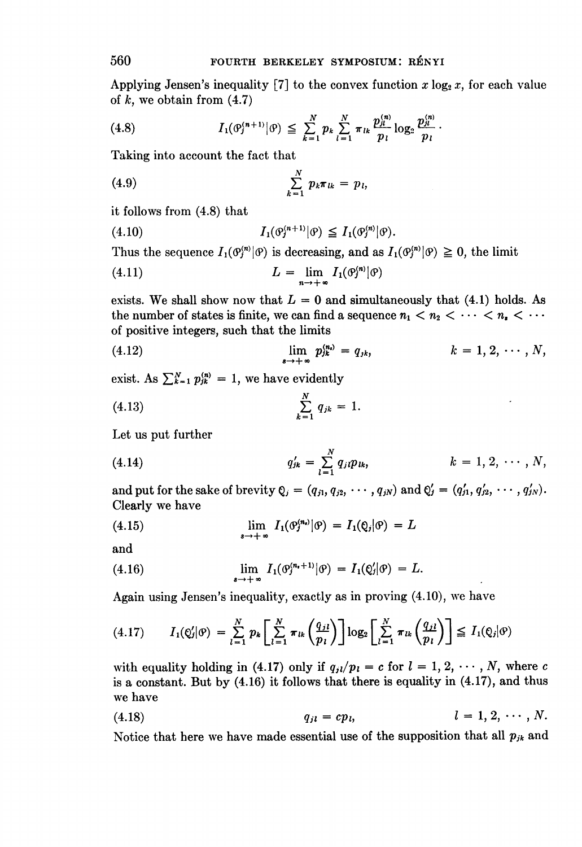Applying Jensen's inequality [7] to the convex function  $x \log_2 x$ , for each value of  $k$ , we obtain from  $(4.7)$ 

$$
(4.8) \tI_1(\theta_j^{(n+1)} | \theta) \leq \sum_{k=1}^N p_k \sum_{l=1}^N \pi_{lk} \frac{p_{jl}^{(n)}}{p_l} \log_2 \frac{p_{jl}^{(n)}}{p_l}.
$$

Taking into account the fact that

(4.9) 
$$
\sum_{k=1}^{N} p_k \pi_{lk} = p_l,
$$

it follows from (4.8) that

(4.10) 
$$
I_1(\mathcal{O}_j^{(n+1)}|\mathcal{O}) \leq I_1(\mathcal{O}_j^{(n)}|\mathcal{O}).
$$

Thus the sequence  $I_1(\mathcal{O}_j^{(n)}|\mathcal{O})$  is decreasing, and as  $I_1(\mathcal{O}_j^{(n)}|\mathcal{O}) \geq 0$ , the limit

$$
(4.11) \t\t\t L = \lim_{n \to +\infty} I_1(\mathcal{O}_j'^{n)}|\mathcal{O})
$$

exists. We shall show now that  $L = 0$  and simultaneously that (4.1) holds. As the number of states is finite, we can find a sequence  $n_1 < n_2 < \cdots < n_n < \cdots$ of positive integers, such that the limits

(4.12) 
$$
\lim_{k \to +\infty} p_{ik}^{(n_i)} = q_{ik}, \qquad k = 1, 2, \cdots, N,
$$

exist. As  $\sum_{k=1}^{N} p_{ik}^{(n)} = 1$ , we have evidently

(4.13) 
$$
\sum_{k=1}^{N} q_{jk} = 1.
$$

Let us put further

(4.14) 
$$
q'_{jk} = \sum_{l=1}^{N} q_{jl} p_{lk}, \qquad k = 1, 2, \cdots, N,
$$

and put for the sake of brevity  $Q_i = (q_{i1}, q_{i2}, \cdots, q_{iN})$  and  $Q'_i = (q'_{i1}, q'_{i2}, \cdots, q'_{iN}).$ Clearly we have

(4.15) 
$$
\lim_{s \to +\infty} I_1(\mathcal{O}_j^{(n_i)}|\mathcal{O}) = I_1(\mathcal{Q}_j|\mathcal{O}) = L
$$

and

(4.16) 
$$
\lim_{n \to +\infty} I_1(\mathcal{O}_j^{(n_i+1)}|\mathcal{O}) = I_1(\mathcal{Q}'_j|\mathcal{O}) = L.
$$

Again using Jensen's inequality, exactly as in proving (4.10), we have

$$
(4.17) \qquad I_1(\mathcal{Q}'_j|\mathcal{P}) = \sum_{l=1}^N p_k \left[ \sum_{l=1}^N \pi_{lk} \left( \frac{q_{jl}}{p_l} \right) \right] \log_2 \left[ \sum_{l=1}^N \pi_{lk} \left( \frac{q_{jl}}{p_l} \right) \right] \leq I_1(\mathcal{Q}_j|\mathcal{P})
$$

with equality holding in (4.17) only if  $q_{jl}/p_l = c$  for  $l = 1, 2, \dots, N$ , where c is a constant. But by (4.16) it follows that there is equality in (4.17), and thus we have

$$
(4.18) \t\t q_{jl} = cp_l, \t\t l = 1, 2, \cdots, N.
$$

Notice that here we have made essential use of the supposition that all  $p_{ik}$  and